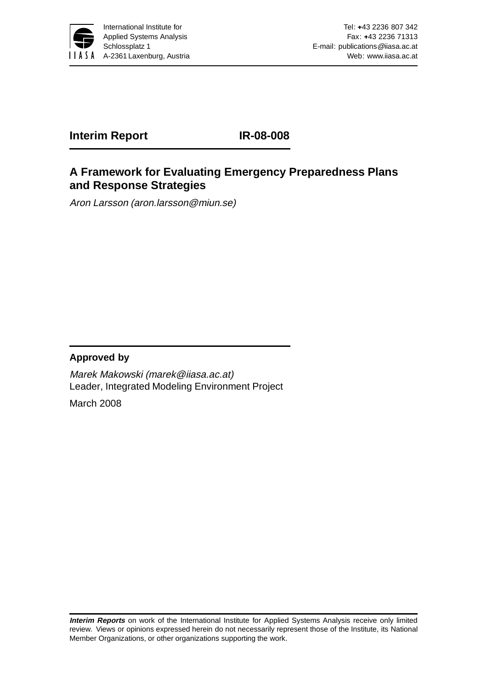

**Interim Report IR-08-008**

# **A Framework for Evaluating Emergency Preparedness Plans and Response Strategies**

Aron Larsson (aron.larsson@miun.se)

# **Approved by**

Marek Makowski (marek@iiasa.ac.at) Leader, Integrated Modeling Environment Project

March 2008

**Interim Reports** on work of the International Institute for Applied Systems Analysis receive only limited review. Views or opinions expressed herein do not necessarily represent those of the Institute, its National Member Organizations, or other organizations supporting the work.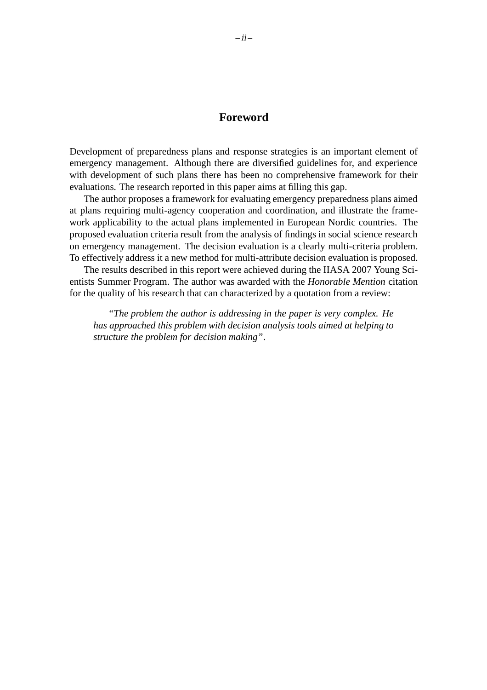#### **Foreword**

Development of preparedness plans and response strategies is an important element of emergency management. Although there are diversified guidelines for, and experience with development of such plans there has been no comprehensive framework for their evaluations. The research reported in this paper aims at filling this gap.

The author proposes a framework for evaluating emergency preparedness plans aimed at plans requiring multi-agency cooperation and coordination, and illustrate the framework applicability to the actual plans implemented in European Nordic countries. The proposed evaluation criteria result from the analysis of findings in social science research on emergency management. The decision evaluation is a clearly multi-criteria problem. To effectively address it a new method for multi-attribute decision evaluation is proposed.

The results described in this report were achieved during the IIASA 2007 Young Scientists Summer Program. The author was awarded with the *Honorable Mention* citation for the quality of his research that can characterized by a quotation from a review:

*"The problem the author is addressing in the paper is very complex. He has approached this problem with decision analysis tools aimed at helping to structure the problem for decision making"*.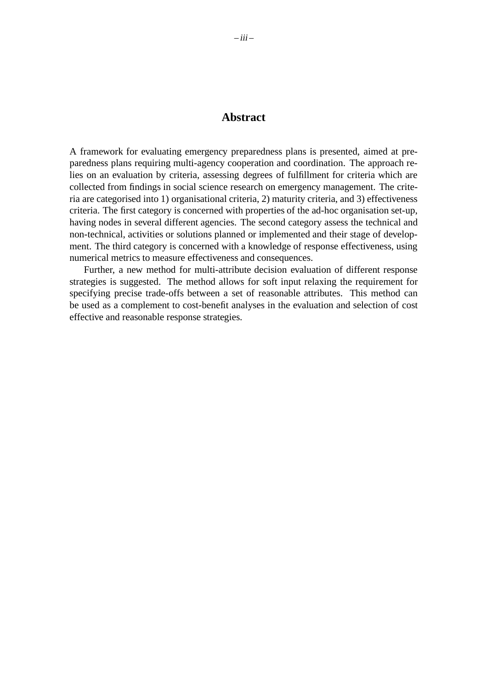## **Abstract**

A framework for evaluating emergency preparedness plans is presented, aimed at preparedness plans requiring multi-agency cooperation and coordination. The approach relies on an evaluation by criteria, assessing degrees of fulfillment for criteria which are collected from findings in social science research on emergency management. The criteria are categorised into 1) organisational criteria, 2) maturity criteria, and 3) effectiveness criteria. The first category is concerned with properties of the ad-hoc organisation set-up, having nodes in several different agencies. The second category assess the technical and non-technical, activities or solutions planned or implemented and their stage of development. The third category is concerned with a knowledge of response effectiveness, using numerical metrics to measure effectiveness and consequences.

Further, a new method for multi-attribute decision evaluation of different response strategies is suggested. The method allows for soft input relaxing the requirement for specifying precise trade-offs between a set of reasonable attributes. This method can be used as a complement to cost-benefit analyses in the evaluation and selection of cost effective and reasonable response strategies.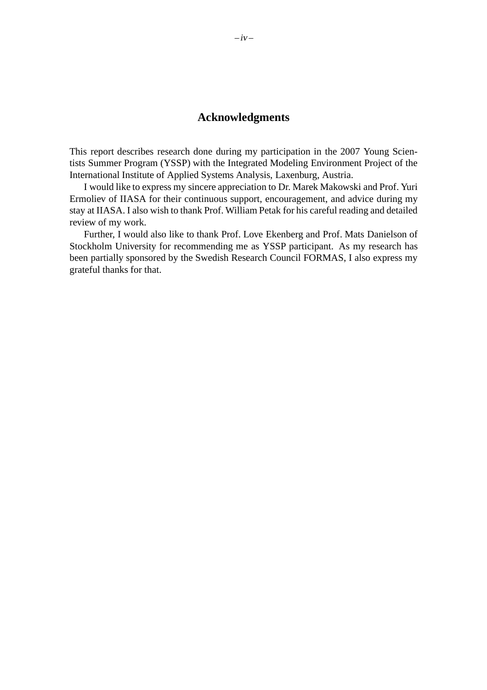# **Acknowledgments**

This report describes research done during my participation in the 2007 Young Scientists Summer Program (YSSP) with the Integrated Modeling Environment Project of the International Institute of Applied Systems Analysis, Laxenburg, Austria.

I would like to express my sincere appreciation to Dr. Marek Makowski and Prof. Yuri Ermoliev of IIASA for their continuous support, encouragement, and advice during my stay at IIASA. I also wish to thank Prof. William Petak for his careful reading and detailed review of my work.

Further, I would also like to thank Prof. Love Ekenberg and Prof. Mats Danielson of Stockholm University for recommending me as YSSP participant. As my research has been partially sponsored by the Swedish Research Council FORMAS, I also express my grateful thanks for that.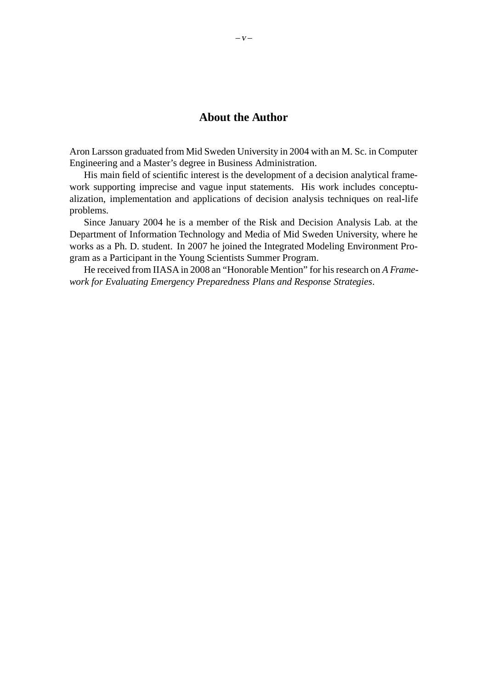# **About the Author**

Aron Larsson graduated from Mid Sweden University in 2004 with an M. Sc. in Computer Engineering and a Master's degree in Business Administration.

His main field of scientific interest is the development of a decision analytical framework supporting imprecise and vague input statements. His work includes conceptualization, implementation and applications of decision analysis techniques on real-life problems.

Since January 2004 he is a member of the Risk and Decision Analysis Lab. at the Department of Information Technology and Media of Mid Sweden University, where he works as a Ph. D. student. In 2007 he joined the Integrated Modeling Environment Program as a Participant in the Young Scientists Summer Program.

He received from IIASA in 2008 an "Honorable Mention" for his research on *A Framework for Evaluating Emergency Preparedness Plans and Response Strategies*.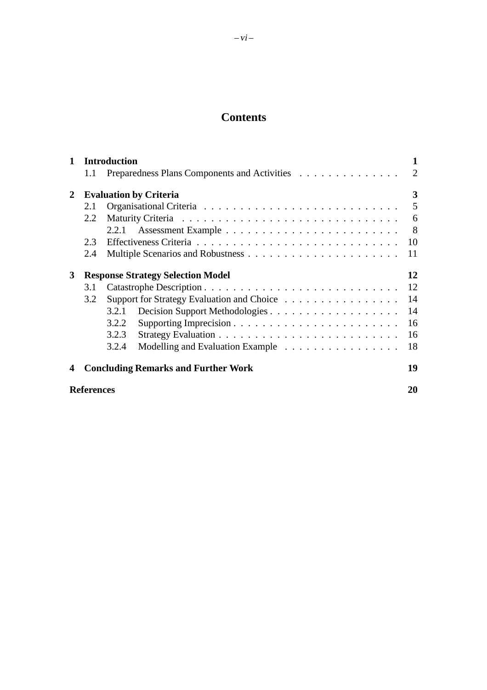# **Contents**

| $\mathbf 1$  | <b>Introduction</b>                      |                                            |                                              |  |  |  |  |  |  |  | 1 |    |    |  |                |
|--------------|------------------------------------------|--------------------------------------------|----------------------------------------------|--|--|--|--|--|--|--|---|----|----|--|----------------|
|              | 1.1                                      |                                            | Preparedness Plans Components and Activities |  |  |  |  |  |  |  |   |    |    |  | $\overline{2}$ |
| $\mathbf{2}$ | <b>Evaluation by Criteria</b>            |                                            |                                              |  |  |  |  |  |  |  | 3 |    |    |  |                |
|              | 2.1                                      |                                            |                                              |  |  |  |  |  |  |  | 5 |    |    |  |                |
|              | 2.2                                      |                                            |                                              |  |  |  |  |  |  |  |   | 6  |    |  |                |
|              |                                          | 2.2.1                                      |                                              |  |  |  |  |  |  |  |   |    |    |  | - 8            |
|              | 2.3                                      |                                            |                                              |  |  |  |  |  |  |  |   |    |    |  | 10             |
|              | 2.4                                      |                                            |                                              |  |  |  |  |  |  |  |   |    |    |  | 11             |
| 3            | <b>Response Strategy Selection Model</b> |                                            |                                              |  |  |  |  |  |  |  |   | 12 |    |  |                |
|              | 3.1                                      |                                            |                                              |  |  |  |  |  |  |  |   |    |    |  | 12             |
|              | 3.2                                      | Support for Strategy Evaluation and Choice |                                              |  |  |  |  |  |  |  |   |    | 14 |  |                |
|              |                                          | 3.2.1                                      |                                              |  |  |  |  |  |  |  |   |    |    |  | 14             |
|              |                                          | 3.2.2                                      |                                              |  |  |  |  |  |  |  |   |    |    |  | 16             |
|              |                                          | 3.2.3                                      |                                              |  |  |  |  |  |  |  |   |    |    |  | 16             |
|              |                                          | 3.2.4                                      | Modelling and Evaluation Example             |  |  |  |  |  |  |  |   |    |    |  | 18             |
| 4            |                                          |                                            | <b>Concluding Remarks and Further Work</b>   |  |  |  |  |  |  |  |   |    |    |  | 19             |
|              | <b>References</b>                        |                                            |                                              |  |  |  |  |  |  |  |   |    |    |  | 20             |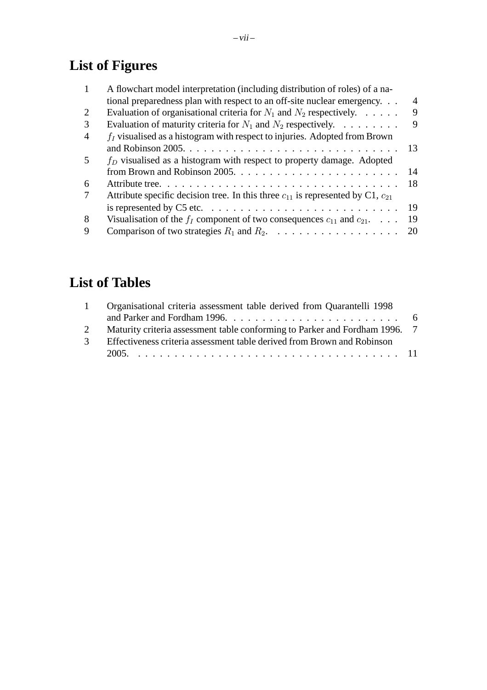# **List of Figures**

|                         | A flowchart model interpretation (including distribution of roles) of a na-                   |    |
|-------------------------|-----------------------------------------------------------------------------------------------|----|
|                         | tional preparedness plan with respect to an off-site nuclear emergency                        | 4  |
| 2                       | Evaluation of organisational criteria for $N_1$ and $N_2$ respectively.                       | 9  |
| 3                       | Evaluation of maturity criteria for $N_1$ and $N_2$ respectively.                             | 9  |
| 4                       | $f_I$ visualised as a histogram with respect to injuries. Adopted from Brown                  |    |
|                         |                                                                                               | 13 |
| $\overline{\mathbf{5}}$ | $f_D$ visualised as a histogram with respect to property damage. Adopted                      |    |
|                         |                                                                                               | 14 |
| 6                       |                                                                                               | 18 |
|                         | Attribute specific decision tree. In this three $c_{11}$ is represented by C1, $c_{21}$       |    |
|                         | is represented by C5 etc. $\dots \dots \dots \dots \dots \dots \dots \dots \dots \dots \dots$ | 19 |
| 8                       | Visualisation of the $f_I$ component of two consequences $c_{11}$ and $c_{21}$                | 19 |
| 9                       | Comparison of two strategies $R_1$ and $R_2$ .                                                | 20 |
|                         |                                                                                               |    |

# **List of Tables**

| Organisational criteria assessment table derived from Quarantelli 1998    |                                                                             |
|---------------------------------------------------------------------------|-----------------------------------------------------------------------------|
|                                                                           |                                                                             |
|                                                                           |                                                                             |
| 3 Effectiveness criteria assessment table derived from Brown and Robinson |                                                                             |
|                                                                           |                                                                             |
|                                                                           | Maturity criteria assessment table conforming to Parker and Fordham 1996. 7 |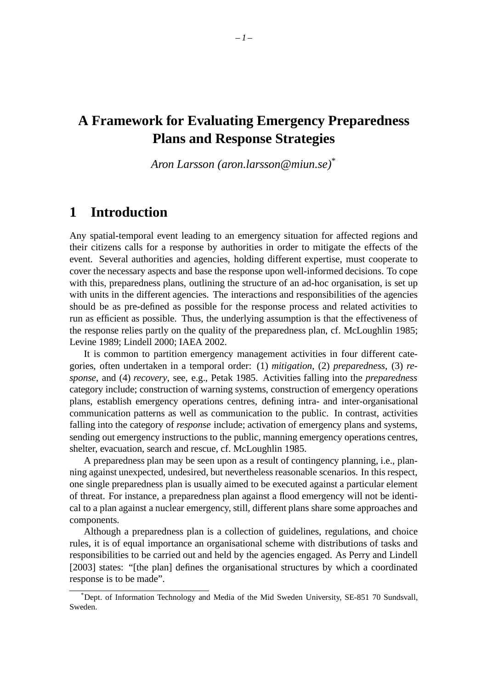# **A Framework for Evaluating Emergency Preparedness Plans and Response Strategies**

*Aron Larsson (aron.larsson@miun.se)*\*

# **1 Introduction**

Any spatial-temporal event leading to an emergency situation for affected regions and their citizens calls for a response by authorities in order to mitigate the effects of the event. Several authorities and agencies, holding different expertise, must cooperate to cover the necessary aspects and base the response upon well-informed decisions. To cope with this, preparedness plans, outlining the structure of an ad-hoc organisation, is set up with units in the different agencies. The interactions and responsibilities of the agencies should be as pre-defined as possible for the response process and related activities to run as efficient as possible. Thus, the underlying assumption is that the effectiveness of the response relies partly on the quality of the preparedness plan, cf. McLoughlin 1985; Levine 1989; Lindell 2000; IAEA 2002.

It is common to partition emergency management activities in four different categories, often undertaken in a temporal order: (1) *mitigation*, (2) *preparedness*, (3) *response*, and (4) *recovery*, see, e.g., Petak 1985. Activities falling into the *preparedness* category include; construction of warning systems, construction of emergency operations plans, establish emergency operations centres, defining intra- and inter-organisational communication patterns as well as communication to the public. In contrast, activities falling into the category of *response* include; activation of emergency plans and systems, sending out emergency instructions to the public, manning emergency operations centres, shelter, evacuation, search and rescue, cf. McLoughlin 1985.

A preparedness plan may be seen upon as a result of contingency planning, i.e., planning against unexpected, undesired, but nevertheless reasonable scenarios. In this respect, one single preparedness plan is usually aimed to be executed against a particular element of threat. For instance, a preparedness plan against a flood emergency will not be identical to a plan against a nuclear emergency, still, different plans share some approaches and components.

Although a preparedness plan is a collection of guidelines, regulations, and choice rules, it is of equal importance an organisational scheme with distributions of tasks and responsibilities to be carried out and held by the agencies engaged. As Perry and Lindell [2003] states: "[the plan] defines the organisational structures by which a coordinated response is to be made".

<sup>\*</sup>Dept. of Information Technology and Media of the Mid Sweden University, SE-851 70 Sundsvall, Sweden.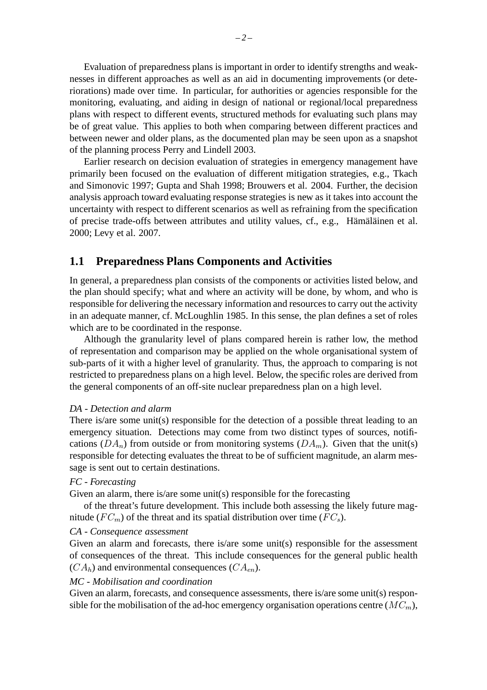Evaluation of preparedness plans is important in order to identify strengths and weaknesses in different approaches as well as an aid in documenting improvements (or deteriorations) made over time. In particular, for authorities or agencies responsible for the monitoring, evaluating, and aiding in design of national or regional/local preparedness plans with respect to different events, structured methods for evaluating such plans may be of great value. This applies to both when comparing between different practices and between newer and older plans, as the documented plan may be seen upon as a snapshot of the planning process Perry and Lindell 2003.

Earlier research on decision evaluation of strategies in emergency management have primarily been focused on the evaluation of different mitigation strategies, e.g., Tkach and Simonovic 1997; Gupta and Shah 1998; Brouwers et al. 2004. Further, the decision analysis approach toward evaluating response strategies is new as it takes into account the uncertainty with respect to different scenarios as well as refraining from the specification of precise trade-offs between attributes and utility values, cf., e.g., Hämäläinen et al. 2000; Levy et al. 2007.

# **1.1 Preparedness Plans Components and Activities**

In general, a preparedness plan consists of the components or activities listed below, and the plan should specify; what and where an activity will be done, by whom, and who is responsible for delivering the necessary information and resources to carry out the activity in an adequate manner, cf. McLoughlin 1985. In this sense, the plan defines a set of roles which are to be coordinated in the response.

Although the granularity level of plans compared herein is rather low, the method of representation and comparison may be applied on the whole organisational system of sub-parts of it with a higher level of granularity. Thus, the approach to comparing is not restricted to preparedness plans on a high level. Below, the specific roles are derived from the general components of an off-site nuclear preparedness plan on a high level.

#### *DA - Detection and alarm*

There is/are some unit(s) responsible for the detection of a possible threat leading to an emergency situation. Detections may come from two distinct types of sources, notifications  $(DA_n)$  from outside or from monitoring systems  $(DA_m)$ . Given that the unit(s) responsible for detecting evaluates the threat to be of sufficient magnitude, an alarm message is sent out to certain destinations.

#### *FC - Forecasting*

Given an alarm, there is/are some unit(s) responsible for the forecasting

of the threat's future development. This include both assessing the likely future magnitude ( $FC<sub>m</sub>$ ) of the threat and its spatial distribution over time ( $FC<sub>s</sub>$ ).

#### *CA - Consequence assessment*

Given an alarm and forecasts, there is/are some unit(s) responsible for the assessment of consequences of the threat. This include consequences for the general public health  $(CA_h)$  and environmental consequences  $(CA_{en})$ .

#### *MC - Mobilisation and coordination*

Given an alarm, forecasts, and consequence assessments, there is/are some unit(s) responsible for the mobilisation of the ad-hoc emergency organisation operations centre  $(MC_m)$ ,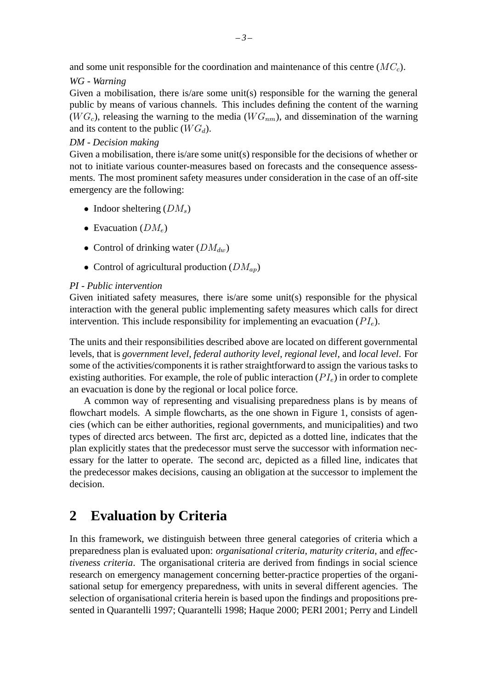and some unit responsible for the coordination and maintenance of this centre  $(MC_c)$ .

#### *WG - Warning*

Given a mobilisation, there is/are some unit(s) responsible for the warning the general public by means of various channels. This includes defining the content of the warning  $(W G_c)$ , releasing the warning to the media  $(W G_{nm})$ , and dissemination of the warning and its content to the public  $(W G_d)$ .

#### *DM - Decision making*

Given a mobilisation, there is/are some unit(s) responsible for the decisions of whether or not to initiate various counter-measures based on forecasts and the consequence assessments. The most prominent safety measures under consideration in the case of an off-site emergency are the following:

- Indoor sheltering  $(DM_s)$
- Evacuation  $(DM_e)$
- Control of drinking water  $(DM_{dw})$
- Control of agricultural production  $(DM_{ap})$

#### *PI - Public intervention*

Given initiated safety measures, there is/are some unit(s) responsible for the physical interaction with the general public implementing safety measures which calls for direct intervention. This include responsibility for implementing an evacuation  $(PI_e)$ .

The units and their responsibilities described above are located on different governmental levels, that is *government level*, *federal authority level*, *regional level*, and *local level*. For some of the activities/components it is rather straightforward to assign the various tasks to existing authorities. For example, the role of public interaction  $(PI_e)$  in order to complete an evacuation is done by the regional or local police force.

A common way of representing and visualising preparedness plans is by means of flowchart models. A simple flowcharts, as the one shown in Figure 1, consists of agencies (which can be either authorities, regional governments, and municipalities) and two types of directed arcs between. The first arc, depicted as a dotted line, indicates that the plan explicitly states that the predecessor must serve the successor with information necessary for the latter to operate. The second arc, depicted as a filled line, indicates that the predecessor makes decisions, causing an obligation at the successor to implement the decision.

# **2 Evaluation by Criteria**

In this framework, we distinguish between three general categories of criteria which a preparedness plan is evaluated upon: *organisational criteria*, *maturity criteria*, and *effectiveness criteria*. The organisational criteria are derived from findings in social science research on emergency management concerning better-practice properties of the organisational setup for emergency preparedness, with units in several different agencies. The selection of organisational criteria herein is based upon the findings and propositions presented in Quarantelli 1997; Quarantelli 1998; Haque 2000; PERI 2001; Perry and Lindell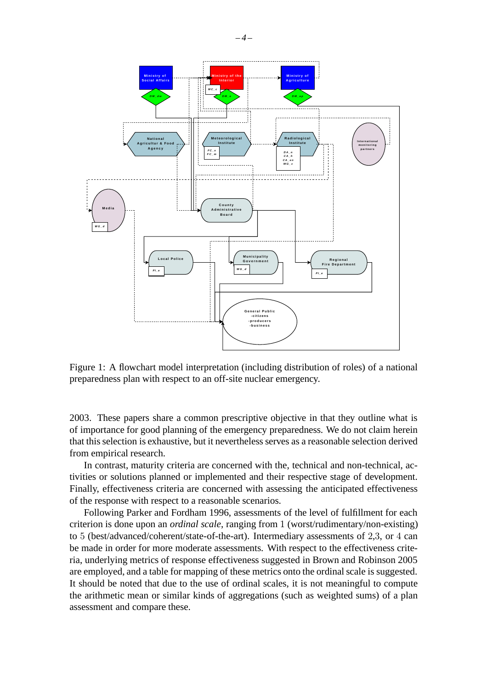

Figure 1: A flowchart model interpretation (including distribution of roles) of a national preparedness plan with respect to an off-site nuclear emergency.

2003. These papers share a common prescriptive objective in that they outline what is of importance for good planning of the emergency preparedness. We do not claim herein that this selection is exhaustive, but it nevertheless serves as a reasonable selection derived from empirical research.

In contrast, maturity criteria are concerned with the, technical and non-technical, activities or solutions planned or implemented and their respective stage of development. Finally, effectiveness criteria are concerned with assessing the anticipated effectiveness of the response with respect to a reasonable scenarios.

Following Parker and Fordham 1996, assessments of the level of fulfillment for each criterion is done upon an *ordinal scale*, ranging from 1 (worst/rudimentary/non-existing) to 5 (best/advanced/coherent/state-of-the-art). Intermediary assessments of 2,3, or 4 can be made in order for more moderate assessments. With respect to the effectiveness criteria, underlying metrics of response effectiveness suggested in Brown and Robinson 2005 are employed, and a table for mapping of these metrics onto the ordinal scale is suggested. It should be noted that due to the use of ordinal scales, it is not meaningful to compute the arithmetic mean or similar kinds of aggregations (such as weighted sums) of a plan assessment and compare these.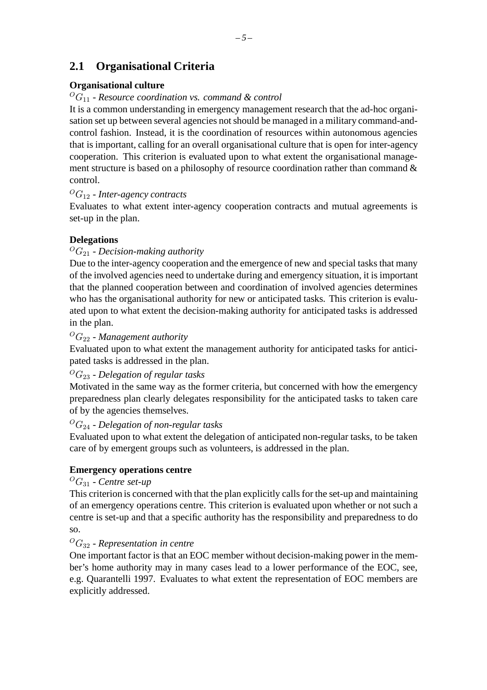# **2.1 Organisational Criteria**

# **Organisational culture**

## ${}^{0}G_{11}$  - *Resource coordination vs. command & control*

It is a common understanding in emergency management research that the ad-hoc organisation set up between several agencies not should be managed in a military command-andcontrol fashion. Instead, it is the coordination of resources within autonomous agencies that is important, calling for an overall organisational culture that is open for inter-agency cooperation. This criterion is evaluated upon to what extent the organisational management structure is based on a philosophy of resource coordination rather than command  $\&$ control.

# <sup>O</sup>G<sup>12</sup> - *Inter-agency contracts*

Evaluates to what extent inter-agency cooperation contracts and mutual agreements is set-up in the plan.

# **Delegations**

# ${}^OG_{21}$  - *Decision-making authority*

Due to the inter-agency cooperation and the emergence of new and special tasks that many of the involved agencies need to undertake during and emergency situation, it is important that the planned cooperation between and coordination of involved agencies determines who has the organisational authority for new or anticipated tasks. This criterion is evaluated upon to what extent the decision-making authority for anticipated tasks is addressed in the plan.

## <sup>O</sup>G<sup>22</sup> - *Management authority*

Evaluated upon to what extent the management authority for anticipated tasks for anticipated tasks is addressed in the plan.

## <sup>O</sup>G<sup>23</sup> - *Delegation of regular tasks*

Motivated in the same way as the former criteria, but concerned with how the emergency preparedness plan clearly delegates responsibility for the anticipated tasks to taken care of by the agencies themselves.

## <sup>O</sup>G<sup>24</sup> - *Delegation of non-regular tasks*

Evaluated upon to what extent the delegation of anticipated non-regular tasks, to be taken care of by emergent groups such as volunteers, is addressed in the plan.

## **Emergency operations centre**

## <sup>O</sup>G<sup>31</sup> - *Centre set-up*

This criterion is concerned with that the plan explicitly calls for the set-up and maintaining of an emergency operations centre. This criterion is evaluated upon whether or not such a centre is set-up and that a specific authority has the responsibility and preparedness to do so.

## <sup>O</sup>G<sup>32</sup> - *Representation in centre*

One important factor is that an EOC member without decision-making power in the member's home authority may in many cases lead to a lower performance of the EOC, see, e.g. Quarantelli 1997. Evaluates to what extent the representation of EOC members are explicitly addressed.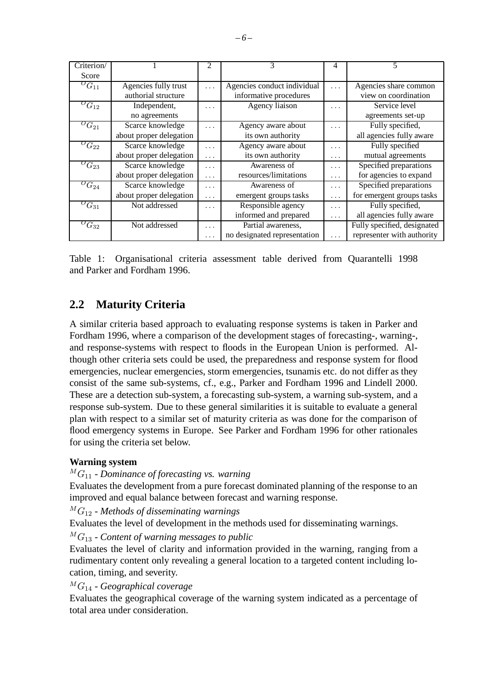| Criterion/                             |                         | 2        | 3                                       | 4        | 5                           |  |
|----------------------------------------|-------------------------|----------|-----------------------------------------|----------|-----------------------------|--|
| Score                                  |                         |          |                                         |          |                             |  |
| ${}^{O}G_{11}$<br>Agencies fully trust |                         | $\cdots$ | Agencies conduct individual<br>$\cdots$ |          | Agencies share common       |  |
| authorial structure                    |                         |          | informative procedures                  |          | view on coordination        |  |
| ${}^{O}G_{12}$                         | Independent,            | .        | Agency liaison                          | .        | Service level               |  |
|                                        | no agreements           |          |                                         |          | agreements set-up           |  |
| ${}^{O}G_{21}$                         | Scarce knowledge        | .        | Agency aware about                      | $\cdots$ | Fully specified,            |  |
|                                        | about proper delegation |          | its own authority                       |          | all agencies fully aware    |  |
| ${}^OG_{22}$                           | Scarce knowledge        | $\cdots$ | Agency aware about                      | .        | Fully specified             |  |
|                                        | about proper delegation | $\cdots$ | its own authority                       | $\cdots$ | mutual agreements           |  |
| $^{O}G_{23}$                           | Scarce knowledge        | $\cdots$ | Awareness of                            | $\cdots$ | Specified preparations      |  |
|                                        | about proper delegation | .        | resources/limitations                   | $\cdots$ | for agencies to expand      |  |
| $O_{G_{24}}$                           | Scarce knowledge        | .        | Awareness of                            | $\cdots$ | Specified preparations      |  |
|                                        | about proper delegation | $\cdots$ | emergent groups tasks                   | $\cdots$ | for emergent groups tasks   |  |
| ${}^{O}G_{31}$                         | Not addressed           | $\cdots$ | Responsible agency                      | $\cdots$ | Fully specified,            |  |
|                                        |                         |          | informed and prepared                   | $\cdots$ | all agencies fully aware    |  |
| ${}^{O}G_{32}$                         | Not addressed           | .        | Partial awareness,                      |          | Fully specified, designated |  |
|                                        |                         | $\cdots$ | no designated representation            | $\cdots$ | representer with authority  |  |

Table 1: Organisational criteria assessment table derived from Quarantelli 1998 and Parker and Fordham 1996.

# **2.2 Maturity Criteria**

A similar criteria based approach to evaluating response systems is taken in Parker and Fordham 1996, where a comparison of the development stages of forecasting-, warning-, and response-systems with respect to floods in the European Union is performed. Although other criteria sets could be used, the preparedness and response system for flood emergencies, nuclear emergencies, storm emergencies, tsunamis etc. do not differ as they consist of the same sub-systems, cf., e.g., Parker and Fordham 1996 and Lindell 2000. These are a detection sub-system, a forecasting sub-system, a warning sub-system, and a response sub-system. Due to these general similarities it is suitable to evaluate a general plan with respect to a similar set of maturity criteria as was done for the comparison of flood emergency systems in Europe. See Parker and Fordham 1996 for other rationales for using the criteria set below.

#### **Warning system**

<sup>M</sup> G<sup>11</sup> - *Dominance of forecasting vs. warning*

Evaluates the development from a pure forecast dominated planning of the response to an improved and equal balance between forecast and warning response.

<sup>M</sup> G<sup>12</sup> - *Methods of disseminating warnings*

Evaluates the level of development in the methods used for disseminating warnings.

<sup>M</sup> G<sup>13</sup> - *Content of warning messages to public*

Evaluates the level of clarity and information provided in the warning, ranging from a rudimentary content only revealing a general location to a targeted content including location, timing, and severity.

<sup>M</sup> G<sup>14</sup> - *Geographical coverage*

Evaluates the geographical coverage of the warning system indicated as a percentage of total area under consideration.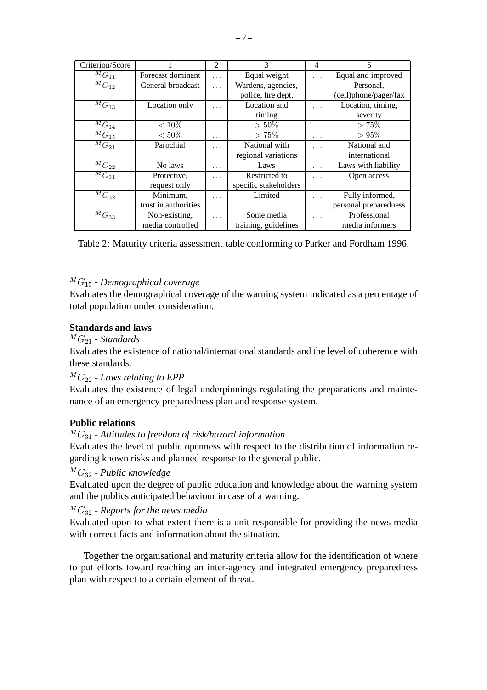| Criterion/Score                      |                      | $\mathfrak{D}$ | 3                     | 4        | 5                     |
|--------------------------------------|----------------------|----------------|-----------------------|----------|-----------------------|
| ${}^{\overline{M}}\overline{G}_{11}$ | Forecast dominant    | $\cdots$       | Equal weight          | $\cdots$ | Equal and improved    |
| ${}^MG_{12}$                         | General broadcast    | .              | Wardens, agencies,    |          | Personal.             |
|                                      |                      |                | police, fire dept.    |          | (cell)phone/pager/fax |
| ${}^{\overline{M}}G_{13}$            | Location only        | $\cdots$       | Location and          | $\cdots$ | Location, timing,     |
|                                      |                      |                | timing                |          | severity              |
| ${}^MG_{14}$                         | $< 10\%$             | .              | $>50\%$               | .        | $> 75\%$              |
| ${}^MG_{15}$                         | $< 50\%$             | $\cdots$       | $> 75\%$              | .        | $> 95\%$              |
| ${}^MG_{21}$                         | Parochial            | .              | National with         | .        | National and          |
|                                      |                      |                | regional variations   |          | international         |
| $\overline{^MG}_{22}$                | No laws              | .              | Laws                  | $\cdots$ | Laws with liability   |
| ${}^MG_{31}$                         | Protective,          | $\cdots$       | Restricted to         | .        | Open access           |
|                                      | request only         |                | specific stakeholders |          |                       |
| ${}^{\overline{M}}G_{32}$            | Minimum,             | .              | Limited               | .        | Fully informed,       |
|                                      | trust in authorities |                |                       |          | personal preparedness |
| ${}^MG_{33}$                         | Non-existing,        | $\cdots$       | Some media            | .        | Professional          |
|                                      | media controlled     |                | training, guidelines  |          | media informers       |

Table 2: Maturity criteria assessment table conforming to Parker and Fordham 1996.

#### <sup>M</sup> G<sup>15</sup> - *Demographical coverage*

Evaluates the demographical coverage of the warning system indicated as a percentage of total population under consideration.

#### **Standards and laws**

 $^M G_{21}$  - *Standards* 

Evaluates the existence of national/international standards and the level of coherence with these standards.

 ${}^M G_{22}$  - Laws relating to EPP

Evaluates the existence of legal underpinnings regulating the preparations and maintenance of an emergency preparedness plan and response system.

#### **Public relations**

#### <sup>M</sup> G<sup>31</sup> - *Attitudes to freedom of risk/hazard information*

Evaluates the level of public openness with respect to the distribution of information regarding known risks and planned response to the general public.

#### <sup>M</sup> G<sup>32</sup> - *Public knowledge*

Evaluated upon the degree of public education and knowledge about the warning system and the publics anticipated behaviour in case of a warning.

 ${}^MG_{32}$  - *Reports for the news media* 

Evaluated upon to what extent there is a unit responsible for providing the news media with correct facts and information about the situation.

Together the organisational and maturity criteria allow for the identification of where to put efforts toward reaching an inter-agency and integrated emergency preparedness plan with respect to a certain element of threat.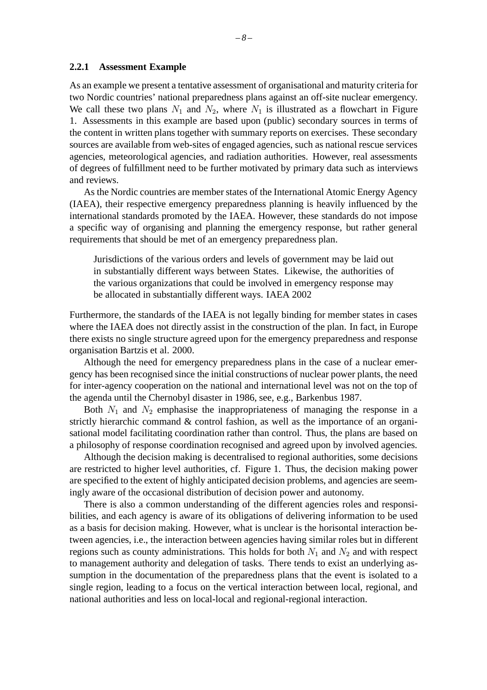#### **2.2.1 Assessment Example**

As an example we present a tentative assessment of organisational and maturity criteria for two Nordic countries' national preparedness plans against an off-site nuclear emergency. We call these two plans  $N_1$  and  $N_2$ , where  $N_1$  is illustrated as a flowchart in Figure 1. Assessments in this example are based upon (public) secondary sources in terms of the content in written plans together with summary reports on exercises. These secondary sources are available from web-sites of engaged agencies, such as national rescue services agencies, meteorological agencies, and radiation authorities. However, real assessments of degrees of fulfillment need to be further motivated by primary data such as interviews and reviews.

As the Nordic countries are member states of the International Atomic Energy Agency (IAEA), their respective emergency preparedness planning is heavily influenced by the international standards promoted by the IAEA. However, these standards do not impose a specific way of organising and planning the emergency response, but rather general requirements that should be met of an emergency preparedness plan.

Jurisdictions of the various orders and levels of government may be laid out in substantially different ways between States. Likewise, the authorities of the various organizations that could be involved in emergency response may be allocated in substantially different ways. IAEA 2002

Furthermore, the standards of the IAEA is not legally binding for member states in cases where the IAEA does not directly assist in the construction of the plan. In fact, in Europe there exists no single structure agreed upon for the emergency preparedness and response organisation Bartzis et al. 2000.

Although the need for emergency preparedness plans in the case of a nuclear emergency has been recognised since the initial constructions of nuclear power plants, the need for inter-agency cooperation on the national and international level was not on the top of the agenda until the Chernobyl disaster in 1986, see, e.g., Barkenbus 1987.

Both  $N_1$  and  $N_2$  emphasise the inappropriateness of managing the response in a strictly hierarchic command & control fashion, as well as the importance of an organisational model facilitating coordination rather than control. Thus, the plans are based on a philosophy of response coordination recognised and agreed upon by involved agencies.

Although the decision making is decentralised to regional authorities, some decisions are restricted to higher level authorities, cf. Figure 1. Thus, the decision making power are specified to the extent of highly anticipated decision problems, and agencies are seemingly aware of the occasional distribution of decision power and autonomy.

There is also a common understanding of the different agencies roles and responsibilities, and each agency is aware of its obligations of delivering information to be used as a basis for decision making. However, what is unclear is the horisontal interaction between agencies, i.e., the interaction between agencies having similar roles but in different regions such as county administrations. This holds for both  $N_1$  and  $N_2$  and with respect to management authority and delegation of tasks. There tends to exist an underlying assumption in the documentation of the preparedness plans that the event is isolated to a single region, leading to a focus on the vertical interaction between local, regional, and national authorities and less on local-local and regional-regional interaction.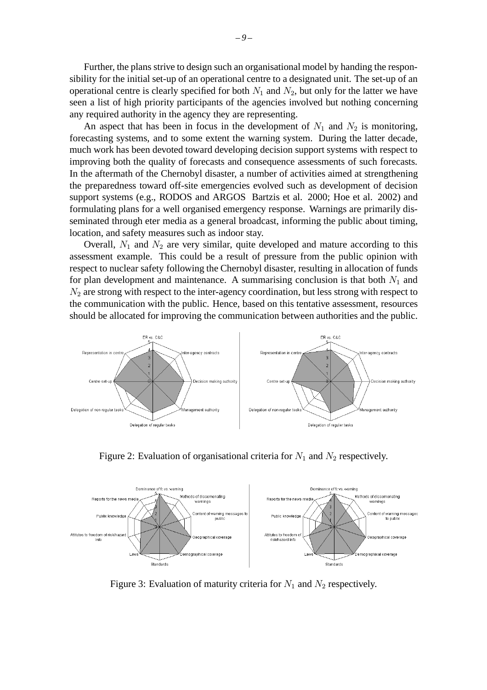Further, the plans strive to design such an organisational model by handing the responsibility for the initial set-up of an operational centre to a designated unit. The set-up of an operational centre is clearly specified for both  $N_1$  and  $N_2$ , but only for the latter we have seen a list of high priority participants of the agencies involved but nothing concerning any required authority in the agency they are representing.

An aspect that has been in focus in the development of  $N_1$  and  $N_2$  is monitoring, forecasting systems, and to some extent the warning system. During the latter decade, much work has been devoted toward developing decision support systems with respect to improving both the quality of forecasts and consequence assessments of such forecasts. In the aftermath of the Chernobyl disaster, a number of activities aimed at strengthening the preparedness toward off-site emergencies evolved such as development of decision support systems (e.g., RODOS and ARGOS Bartzis et al. 2000; Hoe et al. 2002) and formulating plans for a well organised emergency response. Warnings are primarily disseminated through eter media as a general broadcast, informing the public about timing, location, and safety measures such as indoor stay.

Overall,  $N_1$  and  $N_2$  are very similar, quite developed and mature according to this assessment example. This could be a result of pressure from the public opinion with respect to nuclear safety following the Chernobyl disaster, resulting in allocation of funds for plan development and maintenance. A summarising conclusion is that both  $N_1$  and  $N_2$  are strong with respect to the inter-agency coordination, but less strong with respect to the communication with the public. Hence, based on this tentative assessment, resources should be allocated for improving the communication between authorities and the public.







Figure 3: Evaluation of maturity criteria for  $N_1$  and  $N_2$  respectively.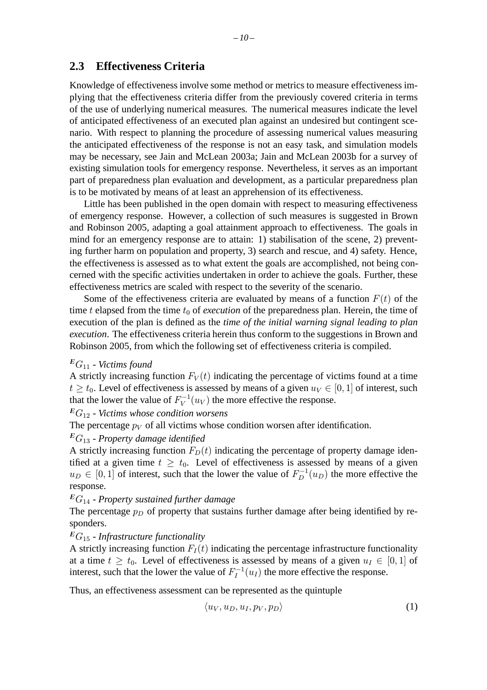Knowledge of effectiveness involve some method or metrics to measure effectiveness implying that the effectiveness criteria differ from the previously covered criteria in terms of the use of underlying numerical measures. The numerical measures indicate the level of anticipated effectiveness of an executed plan against an undesired but contingent scenario. With respect to planning the procedure of assessing numerical values measuring the anticipated effectiveness of the response is not an easy task, and simulation models may be necessary, see Jain and McLean 2003a; Jain and McLean 2003b for a survey of existing simulation tools for emergency response. Nevertheless, it serves as an important part of preparedness plan evaluation and development, as a particular preparedness plan is to be motivated by means of at least an apprehension of its effectiveness.

Little has been published in the open domain with respect to measuring effectiveness of emergency response. However, a collection of such measures is suggested in Brown and Robinson 2005, adapting a goal attainment approach to effectiveness. The goals in mind for an emergency response are to attain: 1) stabilisation of the scene, 2) preventing further harm on population and property, 3) search and rescue, and 4) safety. Hence, the effectiveness is assessed as to what extent the goals are accomplished, not being concerned with the specific activities undertaken in order to achieve the goals. Further, these effectiveness metrics are scaled with respect to the severity of the scenario.

Some of the effectiveness criteria are evaluated by means of a function  $F(t)$  of the time t elapsed from the time  $t_0$  of *execution* of the preparedness plan. Herein, the time of execution of the plan is defined as the *time of the initial warning signal leading to plan execution*. The effectiveness criteria herein thus conform to the suggestions in Brown and Robinson 2005, from which the following set of effectiveness criteria is compiled.

#### <sup>E</sup>G<sup>11</sup> - *Victims found*

A strictly increasing function  $F_V(t)$  indicating the percentage of victims found at a time  $t \ge t_0$ . Level of effectiveness is assessed by means of a given  $u_V \in [0, 1]$  of interest, such that the lower the value of  $F_V^{-1}(u_V)$  the more effective the response.

#### <sup>E</sup>G<sup>12</sup> - *Victims whose condition worsens*

The percentage  $p_V$  of all victims whose condition worsen after identification.

#### <sup>E</sup>G<sup>13</sup> - *Property damage identified*

A strictly increasing function  $F_D(t)$  indicating the percentage of property damage identified at a given time  $t \geq t_0$ . Level of effectiveness is assessed by means of a given  $u_D \in [0,1]$  of interest, such that the lower the value of  $F_D^{-1}(u_D)$  the more effective the response.

#### <sup>E</sup>G<sup>14</sup> - *Property sustained further damage*

The percentage  $p_D$  of property that sustains further damage after being identified by responders.

### <sup>E</sup>G<sup>15</sup> - *Infrastructure functionality*

A strictly increasing function  $F_I(t)$  indicating the percentage infrastructure functionality at a time  $t \geq t_0$ . Level of effectiveness is assessed by means of a given  $u_I \in [0, 1]$  of interest, such that the lower the value of  $F_I^{-1}(u_I)$  the more effective the response.

Thus, an effectiveness assessment can be represented as the quintuple

$$
\langle u_V, u_D, u_I, p_V, p_D \rangle \tag{1}
$$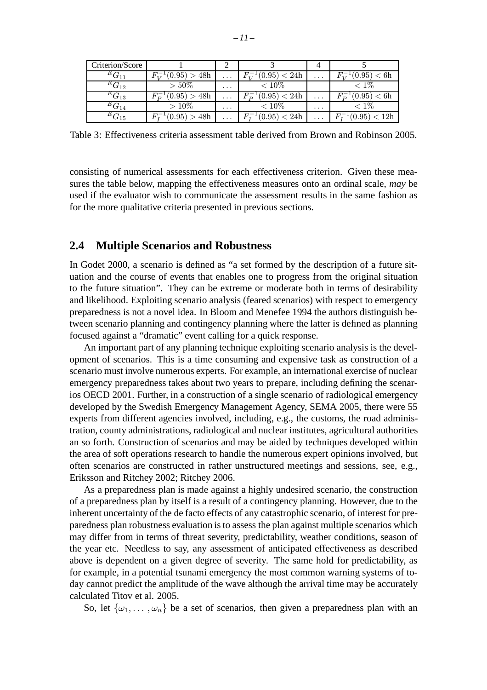| Criterion/Score    |               |                         |                 |          |                            |
|--------------------|---------------|-------------------------|-----------------|----------|----------------------------|
| ${}^EG_{11}$       | (0.95) > 48h  | $\cdots$                | (0.95)<br>< 24h | $\cdots$ | (0.95)<br>$\rm < 6h$       |
| $G_{12}$           | $>50\%$       | $\cdot$ $\cdot$ $\cdot$ | $< 10\%$        |          |                            |
| $G_{13}$           | (0.95) > 48h  | $\cdots$                | (0.95) < 24h    | $\cdots$ | (0.95)<br>$\rm < 6h$       |
| $G_{14}$           | $>10\%$       | $\cdots$                | $< 10\%$        | $\cdots$ |                            |
| $^{E}\bar{G}_{15}$ | (0.95)<br>48h | $\cdots$                | 0.95<br>24h     | $\cdots$ | (0.95)<br>$< 12\mathrm{h}$ |

Table 3: Effectiveness criteria assessment table derived from Brown and Robinson 2005.

consisting of numerical assessments for each effectiveness criterion. Given these measures the table below, mapping the effectiveness measures onto an ordinal scale, *may* be used if the evaluator wish to communicate the assessment results in the same fashion as for the more qualitative criteria presented in previous sections.

#### **2.4 Multiple Scenarios and Robustness**

In Godet 2000, a scenario is defined as "a set formed by the description of a future situation and the course of events that enables one to progress from the original situation to the future situation". They can be extreme or moderate both in terms of desirability and likelihood. Exploiting scenario analysis (feared scenarios) with respect to emergency preparedness is not a novel idea. In Bloom and Menefee 1994 the authors distinguish between scenario planning and contingency planning where the latter is defined as planning focused against a "dramatic" event calling for a quick response.

An important part of any planning technique exploiting scenario analysis is the development of scenarios. This is a time consuming and expensive task as construction of a scenario must involve numerous experts. For example, an international exercise of nuclear emergency preparedness takes about two years to prepare, including defining the scenarios OECD 2001. Further, in a construction of a single scenario of radiological emergency developed by the Swedish Emergency Management Agency, SEMA 2005, there were 55 experts from different agencies involved, including, e.g., the customs, the road administration, county administrations, radiological and nuclear institutes, agricultural authorities an so forth. Construction of scenarios and may be aided by techniques developed within the area of soft operations research to handle the numerous expert opinions involved, but often scenarios are constructed in rather unstructured meetings and sessions, see, e.g., Eriksson and Ritchey 2002; Ritchey 2006.

As a preparedness plan is made against a highly undesired scenario, the construction of a preparedness plan by itself is a result of a contingency planning. However, due to the inherent uncertainty of the de facto effects of any catastrophic scenario, of interest for preparedness plan robustness evaluation is to assess the plan against multiple scenarios which may differ from in terms of threat severity, predictability, weather conditions, season of the year etc. Needless to say, any assessment of anticipated effectiveness as described above is dependent on a given degree of severity. The same hold for predictability, as for example, in a potential tsunami emergency the most common warning systems of today cannot predict the amplitude of the wave although the arrival time may be accurately calculated Titov et al. 2005.

So, let  $\{\omega_1,\ldots,\omega_n\}$  be a set of scenarios, then given a preparedness plan with an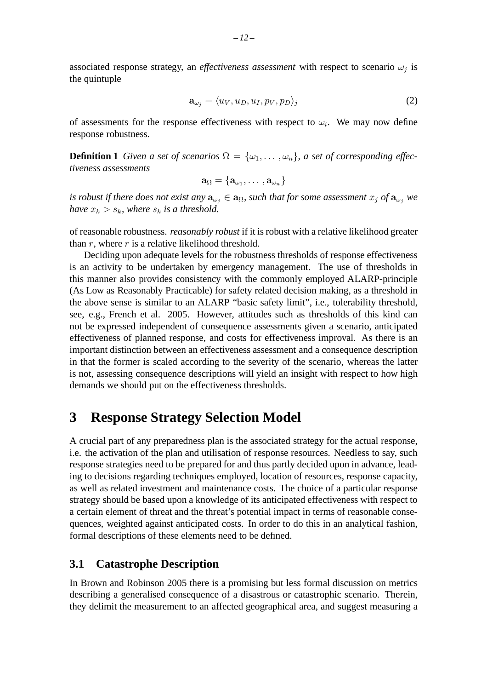associated response strategy, an *effectiveness assessment* with respect to scenario  $\omega_i$  is the quintuple

$$
\mathbf{a}_{\omega_j} = \langle u_V, u_D, u_I, p_V, p_D \rangle_j \tag{2}
$$

of assessments for the response effectiveness with respect to  $\omega_i$ . We may now define response robustness.

**Definition 1** *Given a set of scenarios*  $\Omega = {\omega_1, \dots, \omega_n}$ *, a set of corresponding effectiveness assessments*

$$
\mathbf{a}_\Omega = \{\mathbf{a}_{\omega_1},\ldots,\mathbf{a}_{\omega_n}\}
$$

*is robust if there does not exist any*  $\mathbf{a}_{\omega_i} \in \mathbf{a}_{\Omega}$ , such that for some assessment  $x_j$  of  $\mathbf{a}_{\omega_j}$  we *have*  $x_k > s_k$ *, where*  $s_k$  *is a threshold.* 

of reasonable robustness. *reasonably robust* if it is robust with a relative likelihood greater than r, where r is a relative likelihood threshold.

Deciding upon adequate levels for the robustness thresholds of response effectiveness is an activity to be undertaken by emergency management. The use of thresholds in this manner also provides consistency with the commonly employed ALARP-principle (As Low as Reasonably Practicable) for safety related decision making, as a threshold in the above sense is similar to an ALARP "basic safety limit", i.e., tolerability threshold, see, e.g., French et al. 2005. However, attitudes such as thresholds of this kind can not be expressed independent of consequence assessments given a scenario, anticipated effectiveness of planned response, and costs for effectiveness improval. As there is an important distinction between an effectiveness assessment and a consequence description in that the former is scaled according to the severity of the scenario, whereas the latter is not, assessing consequence descriptions will yield an insight with respect to how high demands we should put on the effectiveness thresholds.

# **3 Response Strategy Selection Model**

A crucial part of any preparedness plan is the associated strategy for the actual response, i.e. the activation of the plan and utilisation of response resources. Needless to say, such response strategies need to be prepared for and thus partly decided upon in advance, leading to decisions regarding techniques employed, location of resources, response capacity, as well as related investment and maintenance costs. The choice of a particular response strategy should be based upon a knowledge of its anticipated effectiveness with respect to a certain element of threat and the threat's potential impact in terms of reasonable consequences, weighted against anticipated costs. In order to do this in an analytical fashion, formal descriptions of these elements need to be defined.

## **3.1 Catastrophe Description**

In Brown and Robinson 2005 there is a promising but less formal discussion on metrics describing a generalised consequence of a disastrous or catastrophic scenario. Therein, they delimit the measurement to an affected geographical area, and suggest measuring a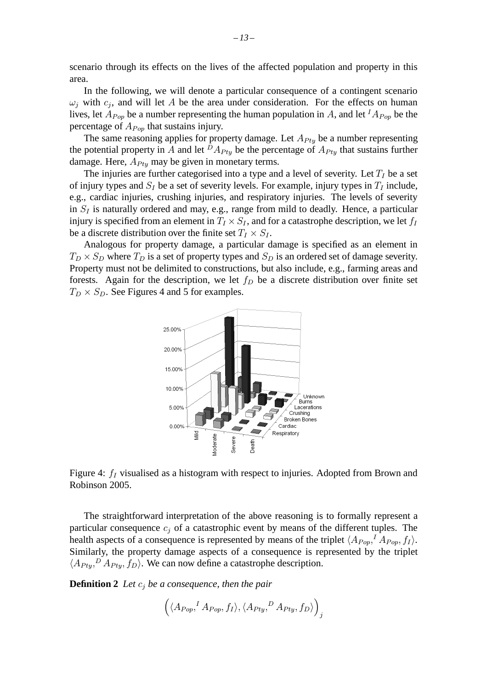scenario through its effects on the lives of the affected population and property in this area.

In the following, we will denote a particular consequence of a contingent scenario  $\omega_i$  with  $c_i$ , and will let A be the area under consideration. For the effects on human lives, let  $A_{Pop}$  be a number representing the human population in A, and let  ${}^{I}A_{Pop}$  be the percentage of  $A_{Pop}$  that sustains injury.

The same reasoning applies for property damage. Let  $A_{P_t}$  be a number representing the potential property in A and let  $^D A_{P t v}$  be the percentage of  $A_{P t v}$  that sustains further damage. Here,  $A_{Ptv}$  may be given in monetary terms.

The injuries are further categorised into a type and a level of severity. Let  $T_I$  be a set of injury types and  $S_I$  be a set of severity levels. For example, injury types in  $T_I$  include, e.g., cardiac injuries, crushing injuries, and respiratory injuries. The levels of severity in  $S_I$  is naturally ordered and may, e.g., range from mild to deadly. Hence, a particular injury is specified from an element in  $T_I \times S_I$ , and for a catastrophe description, we let  $f_I$ be a discrete distribution over the finite set  $T_I \times S_I$ .

Analogous for property damage, a particular damage is specified as an element in  $T_D \times S_D$  where  $T_D$  is a set of property types and  $S_D$  is an ordered set of damage severity. Property must not be delimited to constructions, but also include, e.g., farming areas and forests. Again for the description, we let  $f<sub>D</sub>$  be a discrete distribution over finite set  $T_D \times S_D$ . See Figures 4 and 5 for examples.





The straightforward interpretation of the above reasoning is to formally represent a particular consequence  $c_i$  of a catastrophic event by means of the different tuples. The health aspects of a consequence is represented by means of the triplet  $\langle A_{Pop},^I A_{Pop}, f_I \rangle$ . Similarly, the property damage aspects of a consequence is represented by the triplet  $\langle A_{Pty}, A_{Pty}, f_D \rangle$ . We can now define a catastrophe description.

**Definition 2** Let  $c_j$  be a consequence, then the pair

$$
\left( \langle A_{Pop}, ^I A_{Pop}, f_I \rangle, \langle A_{Pty}, ^D A_{Pty}, f_D \rangle \right)_j
$$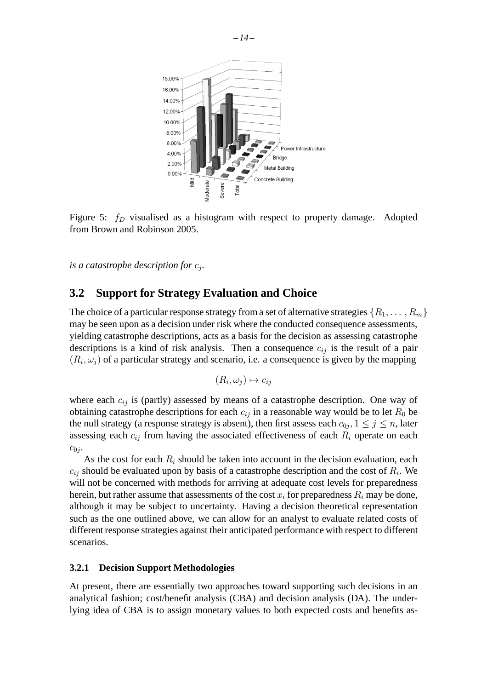

Figure 5:  $f_D$  visualised as a histogram with respect to property damage. Adopted from Brown and Robinson 2005.

*is a catastrophe description for*  $c_i$ *.* 

# **3.2 Support for Strategy Evaluation and Choice**

The choice of a particular response strategy from a set of alternative strategies  $\{R_1,\ldots,R_m\}$ may be seen upon as a decision under risk where the conducted consequence assessments, yielding catastrophe descriptions, acts as a basis for the decision as assessing catastrophe descriptions is a kind of risk analysis. Then a consequence  $c_{ij}$  is the result of a pair  $(R_i, \omega_i)$  of a particular strategy and scenario, i.e. a consequence is given by the mapping

$$
(R_i, \omega_j) \mapsto c_{ij}
$$

where each  $c_{ij}$  is (partly) assessed by means of a catastrophe description. One way of obtaining catastrophe descriptions for each  $c_{ij}$  in a reasonable way would be to let  $R_0$  be the null strategy (a response strategy is absent), then first assess each  $c_{0j}$ ,  $1 \leq j \leq n$ , later assessing each  $c_{ij}$  from having the associated effectiveness of each  $R_i$  operate on each  $c_{0j}$ .

As the cost for each  $R_i$  should be taken into account in the decision evaluation, each  $c_{ij}$  should be evaluated upon by basis of a catastrophe description and the cost of  $R_i$ . We will not be concerned with methods for arriving at adequate cost levels for preparedness herein, but rather assume that assessments of the cost  $x_i$  for preparedness  $R_i$  may be done, although it may be subject to uncertainty. Having a decision theoretical representation such as the one outlined above, we can allow for an analyst to evaluate related costs of different response strategies against their anticipated performance with respect to different scenarios.

#### **3.2.1 Decision Support Methodologies**

At present, there are essentially two approaches toward supporting such decisions in an analytical fashion; cost/benefit analysis (CBA) and decision analysis (DA). The underlying idea of CBA is to assign monetary values to both expected costs and benefits as-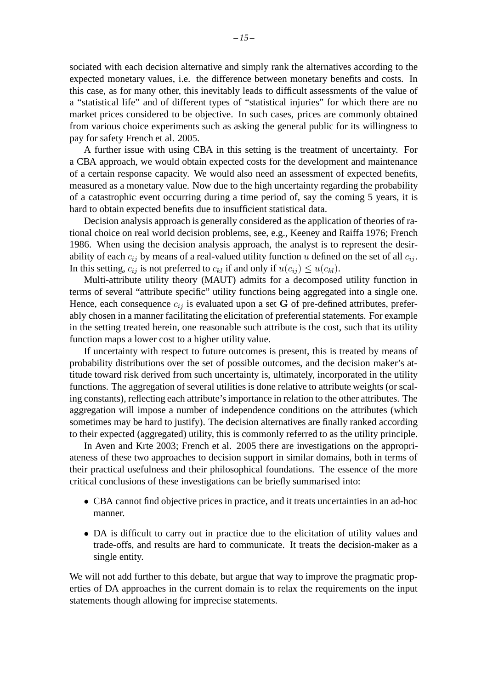sociated with each decision alternative and simply rank the alternatives according to the expected monetary values, i.e. the difference between monetary benefits and costs. In this case, as for many other, this inevitably leads to difficult assessments of the value of a "statistical life" and of different types of "statistical injuries" for which there are no market prices considered to be objective. In such cases, prices are commonly obtained from various choice experiments such as asking the general public for its willingness to pay for safety French et al. 2005.

A further issue with using CBA in this setting is the treatment of uncertainty. For a CBA approach, we would obtain expected costs for the development and maintenance of a certain response capacity. We would also need an assessment of expected benefits, measured as a monetary value. Now due to the high uncertainty regarding the probability of a catastrophic event occurring during a time period of, say the coming 5 years, it is hard to obtain expected benefits due to insufficient statistical data.

Decision analysis approach is generally considered as the application of theories of rational choice on real world decision problems, see, e.g., Keeney and Raiffa 1976; French 1986. When using the decision analysis approach, the analyst is to represent the desirability of each  $c_{ij}$  by means of a real-valued utility function u defined on the set of all  $c_{ij}$ . In this setting,  $c_{ij}$  is not preferred to  $c_{kl}$  if and only if  $u(c_{ij}) \leq u(c_{kl})$ .

Multi-attribute utility theory (MAUT) admits for a decomposed utility function in terms of several "attribute specific" utility functions being aggregated into a single one. Hence, each consequence  $c_{ij}$  is evaluated upon a set G of pre-defined attributes, preferably chosen in a manner facilitating the elicitation of preferential statements. For example in the setting treated herein, one reasonable such attribute is the cost, such that its utility function maps a lower cost to a higher utility value.

If uncertainty with respect to future outcomes is present, this is treated by means of probability distributions over the set of possible outcomes, and the decision maker's attitude toward risk derived from such uncertainty is, ultimately, incorporated in the utility functions. The aggregation of several utilities is done relative to attribute weights (or scaling constants), reflecting each attribute's importance in relation to the other attributes. The aggregation will impose a number of independence conditions on the attributes (which sometimes may be hard to justify). The decision alternatives are finally ranked according to their expected (aggregated) utility, this is commonly referred to as the utility principle.

In Aven and Krte 2003; French et al. 2005 there are investigations on the appropriateness of these two approaches to decision support in similar domains, both in terms of their practical usefulness and their philosophical foundations. The essence of the more critical conclusions of these investigations can be briefly summarised into:

- CBA cannot find objective prices in practice, and it treats uncertainties in an ad-hoc manner.
- DA is difficult to carry out in practice due to the elicitation of utility values and trade-offs, and results are hard to communicate. It treats the decision-maker as a single entity.

We will not add further to this debate, but argue that way to improve the pragmatic properties of DA approaches in the current domain is to relax the requirements on the input statements though allowing for imprecise statements.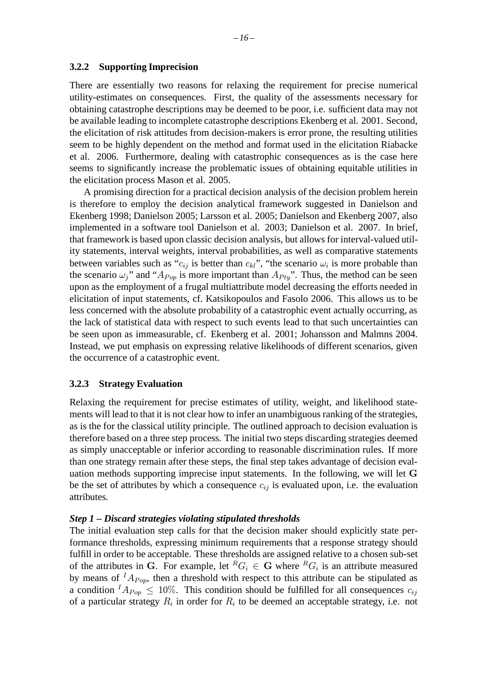#### **3.2.2 Supporting Imprecision**

There are essentially two reasons for relaxing the requirement for precise numerical utility-estimates on consequences. First, the quality of the assessments necessary for obtaining catastrophe descriptions may be deemed to be poor, i.e. sufficient data may not be available leading to incomplete catastrophe descriptions Ekenberg et al. 2001. Second, the elicitation of risk attitudes from decision-makers is error prone, the resulting utilities seem to be highly dependent on the method and format used in the elicitation Riabacke et al. 2006. Furthermore, dealing with catastrophic consequences as is the case here seems to significantly increase the problematic issues of obtaining equitable utilities in the elicitation process Mason et al. 2005.

A promising direction for a practical decision analysis of the decision problem herein is therefore to employ the decision analytical framework suggested in Danielson and Ekenberg 1998; Danielson 2005; Larsson et al. 2005; Danielson and Ekenberg 2007, also implemented in a software tool Danielson et al. 2003; Danielson et al. 2007. In brief, that framework is based upon classic decision analysis, but allows for interval-valued utility statements, interval weights, interval probabilities, as well as comparative statements between variables such as " $c_{ij}$  is better than  $c_{kl}$ ", "the scenario  $\omega_i$  is more probable than the scenario  $\omega_j$ " and " $A_{Pop}$  is more important than  $A_{Py}$ ". Thus, the method can be seen upon as the employment of a frugal multiattribute model decreasing the efforts needed in elicitation of input statements, cf. Katsikopoulos and Fasolo 2006. This allows us to be less concerned with the absolute probability of a catastrophic event actually occurring, as the lack of statistical data with respect to such events lead to that such uncertainties can be seen upon as immeasurable, cf. Ekenberg et al. 2001; Johansson and Malmns 2004. Instead, we put emphasis on expressing relative likelihoods of different scenarios, given the occurrence of a catastrophic event.

#### **3.2.3 Strategy Evaluation**

Relaxing the requirement for precise estimates of utility, weight, and likelihood statements will lead to that it is not clear how to infer an unambiguous ranking of the strategies, as is the for the classical utility principle. The outlined approach to decision evaluation is therefore based on a three step process. The initial two steps discarding strategies deemed as simply unacceptable or inferior according to reasonable discrimination rules. If more than one strategy remain after these steps, the final step takes advantage of decision evaluation methods supporting imprecise input statements. In the following, we will let G be the set of attributes by which a consequence  $c_{ij}$  is evaluated upon, i.e. the evaluation attributes.

#### *Step 1 – Discard strategies violating stipulated thresholds*

The initial evaluation step calls for that the decision maker should explicitly state performance thresholds, expressing minimum requirements that a response strategy should fulfill in order to be acceptable. These thresholds are assigned relative to a chosen sub-set of the attributes in G. For example, let  ${}^RG_i \in G$  where  ${}^RG_i$  is an attribute measured by means of  $^{I}A_{P\alpha p}$ , then a threshold with respect to this attribute can be stipulated as a condition  ${}^{I}A_{Pop} \leq 10\%$ . This condition should be fulfilled for all consequences  $c_{ij}$ of a particular strategy  $R_i$  in order for  $R_i$  to be deemed an acceptable strategy, i.e. not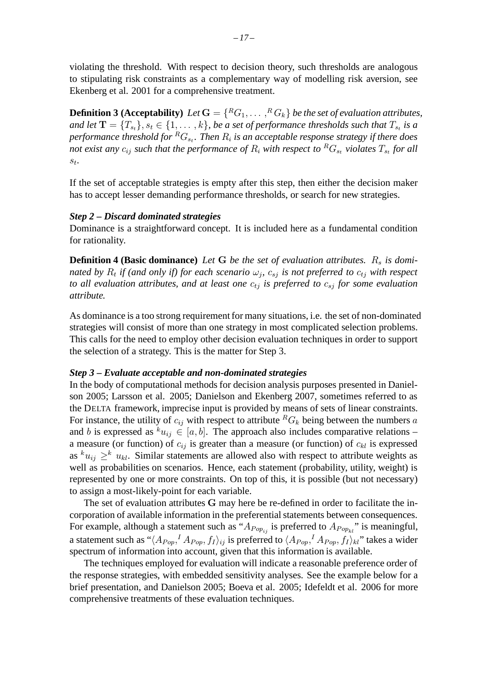violating the threshold. With respect to decision theory, such thresholds are analogous to stipulating risk constraints as a complementary way of modelling risk aversion, see Ekenberg et al. 2001 for a comprehensive treatment.

**Definition 3 (Acceptability)** Let  $G = \{^RG_1, \ldots, ^RG_k\}$  *be the set of evaluation attributes, and let*  $\mathbf{T} = \{T_{s_t}\}, s_t \in \{1, \ldots, k\}$ , be a set of performance thresholds such that  $T_{s_t}$  is a *performance threshold for*  ${}^R G_{s_t}$ . Then  $R_i$  *is an acceptable response strategy if there does not exist any*  $c_{ij}$  *such that the performance of*  $R_i$  *with respect to*  ${}^R G_s$  *violates*  $T_{s}$  *for all* st*.*

If the set of acceptable strategies is empty after this step, then either the decision maker has to accept lesser demanding performance thresholds, or search for new strategies.

#### *Step 2 – Discard dominated strategies*

Dominance is a straightforward concept. It is included here as a fundamental condition for rationality.

**Definition 4 (Basic dominance)** Let G be the set of evaluation attributes. R<sub>s</sub> is domi*nated by*  $R_t$  *if (and only if) for each scenario*  $\omega_j$ ,  $c_{sj}$  *is not preferred to*  $c_{tj}$  *with respect to all evaluation attributes, and at least one*  $c_{tj}$  *is preferred to*  $c_{si}$  *for some evaluation attribute.*

As dominance is a too strong requirement for many situations, i.e. the set of non-dominated strategies will consist of more than one strategy in most complicated selection problems. This calls for the need to employ other decision evaluation techniques in order to support the selection of a strategy. This is the matter for Step 3.

#### *Step 3 – Evaluate acceptable and non-dominated strategies*

In the body of computational methods for decision analysis purposes presented in Danielson 2005; Larsson et al. 2005; Danielson and Ekenberg 2007, sometimes referred to as the DELTA framework, imprecise input is provided by means of sets of linear constraints. For instance, the utility of  $c_{ij}$  with respect to attribute  ${}^R G_k$  being between the numbers a and b is expressed as  $x_i \in [a, b]$ . The approach also includes comparative relations – a measure (or function) of  $c_{ij}$  is greater than a measure (or function) of  $c_{kl}$  is expressed as  $k_{u_{ij}} \geq k_{i}$ . Similar statements are allowed also with respect to attribute weights as well as probabilities on scenarios. Hence, each statement (probability, utility, weight) is represented by one or more constraints. On top of this, it is possible (but not necessary) to assign a most-likely-point for each variable.

The set of evaluation attributes G may here be re-defined in order to facilitate the incorporation of available information in the preferential statements between consequences. For example, although a statement such as " $A_{Pop_{ij}}$  is preferred to  $A_{Pop_{kl}}$ " is meaningful, a statement such as " $\langle A_{Pop},^I A_{Pop}, f_I\rangle_{ij}$  is preferred to  $\langle A_{Pop},^I A_{Pop}, f_I\rangle_{kl}$ " takes a wider spectrum of information into account, given that this information is available.

The techniques employed for evaluation will indicate a reasonable preference order of the response strategies, with embedded sensitivity analyses. See the example below for a brief presentation, and Danielson 2005; Boeva et al. 2005; Idefeldt et al. 2006 for more comprehensive treatments of these evaluation techniques.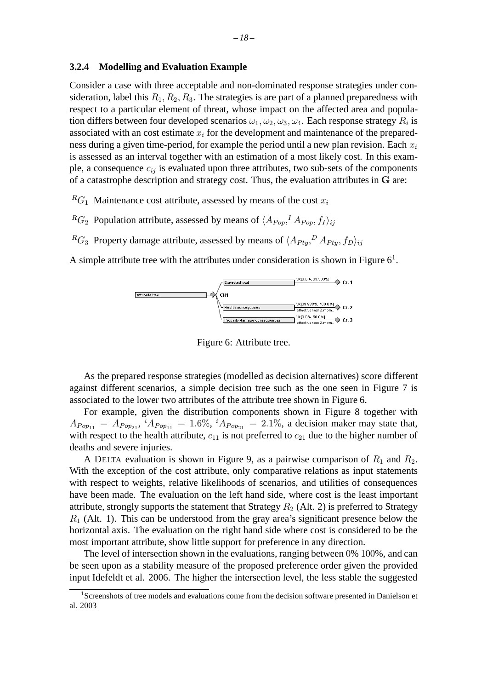#### **3.2.4 Modelling and Evaluation Example**

Consider a case with three acceptable and non-dominated response strategies under consideration, label this  $R_1, R_2, R_3$ . The strategies is are part of a planned preparedness with respect to a particular element of threat, whose impact on the affected area and population differs between four developed scenarios  $\omega_1, \omega_2, \omega_3, \omega_4$ . Each response strategy  $R_i$  is associated with an cost estimate  $x_i$  for the development and maintenance of the preparedness during a given time-period, for example the period until a new plan revision. Each  $x_i$ is assessed as an interval together with an estimation of a most likely cost. In this example, a consequence  $c_{ij}$  is evaluated upon three attributes, two sub-sets of the components of a catastrophe description and strategy cost. Thus, the evaluation attributes in G are:

 ${}^R G_1$  Maintenance cost attribute, assessed by means of the cost  $x_i$ 

- ${}^R G_2$  Population attribute, assessed by means of  $\langle A_{Pop}, I A_{Pop}, f_I \rangle_{ij}$
- ${}^R G_3$  Property damage attribute, assessed by means of  $\langle A_{Pty}, {}^D A_{Pty}, f_D \rangle_{ij}$

A simple attribute tree with the attributes under consideration is shown in Figure  $6<sup>1</sup>$ .



Figure 6: Attribute tree.

As the prepared response strategies (modelled as decision alternatives) score different against different scenarios, a simple decision tree such as the one seen in Figure 7 is associated to the lower two attributes of the attribute tree shown in Figure 6.

For example, given the distribution components shown in Figure 8 together with  $A_{Pop_{11}} = A_{Pop_{21}}$ ,  ${}^{i}A_{Pop_{11}} = 1.6\%$ ,  ${}^{i}A_{Pop_{21}} = 2.1\%$ , a decision maker may state that, with respect to the health attribute,  $c_{11}$  is not preferred to  $c_{21}$  due to the higher number of deaths and severe injuries.

A DELTA evaluation is shown in Figure 9, as a pairwise comparison of  $R_1$  and  $R_2$ . With the exception of the cost attribute, only comparative relations as input statements with respect to weights, relative likelihoods of scenarios, and utilities of consequences have been made. The evaluation on the left hand side, where cost is the least important attribute, strongly supports the statement that Strategy  $R_2$  (Alt. 2) is preferred to Strategy  $R_1$  (Alt. 1). This can be understood from the gray area's significant presence below the horizontal axis. The evaluation on the right hand side where cost is considered to be the most important attribute, show little support for preference in any direction.

The level of intersection shown in the evaluations, ranging between 0% 100%, and can be seen upon as a stability measure of the proposed preference order given the provided input Idefeldt et al. 2006. The higher the intersection level, the less stable the suggested

<sup>&</sup>lt;sup>1</sup>Screenshots of tree models and evaluations come from the decision software presented in Danielson et al. 2003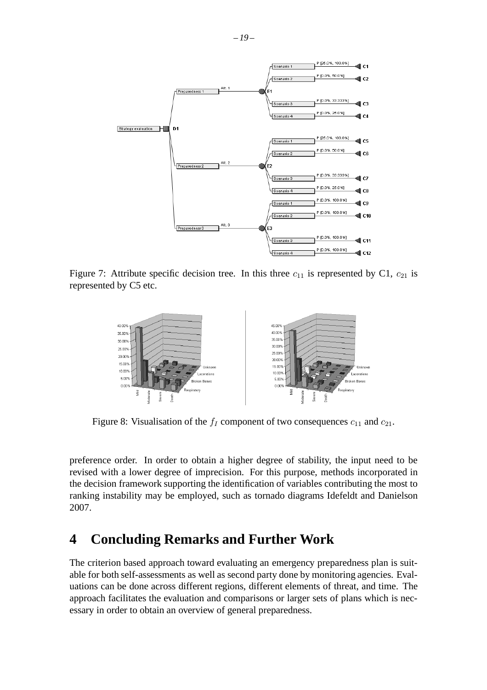

Figure 7: Attribute specific decision tree. In this three  $c_{11}$  is represented by C1,  $c_{21}$  is represented by C5 etc.



Figure 8: Visualisation of the  $f_I$  component of two consequences  $c_{11}$  and  $c_{21}$ .

preference order. In order to obtain a higher degree of stability, the input need to be revised with a lower degree of imprecision. For this purpose, methods incorporated in the decision framework supporting the identification of variables contributing the most to ranking instability may be employed, such as tornado diagrams Idefeldt and Danielson 2007.

# **4 Concluding Remarks and Further Work**

The criterion based approach toward evaluating an emergency preparedness plan is suitable for both self-assessments as well as second party done by monitoring agencies. Evaluations can be done across different regions, different elements of threat, and time. The approach facilitates the evaluation and comparisons or larger sets of plans which is necessary in order to obtain an overview of general preparedness.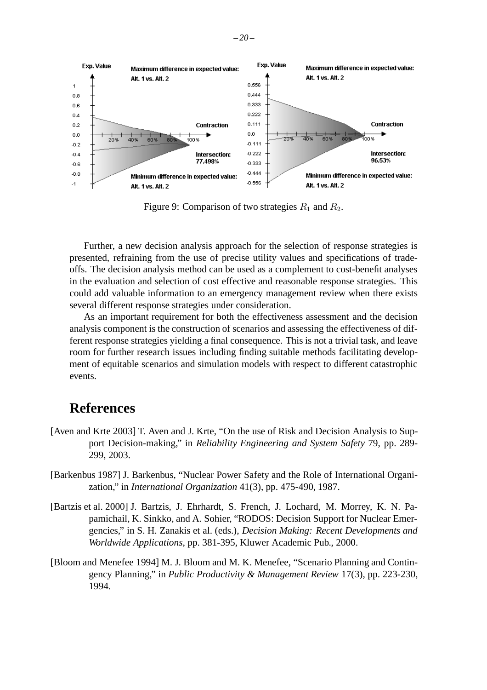

Figure 9: Comparison of two strategies  $R_1$  and  $R_2$ .

Further, a new decision analysis approach for the selection of response strategies is presented, refraining from the use of precise utility values and specifications of tradeoffs. The decision analysis method can be used as a complement to cost-benefit analyses in the evaluation and selection of cost effective and reasonable response strategies. This could add valuable information to an emergency management review when there exists several different response strategies under consideration.

As an important requirement for both the effectiveness assessment and the decision analysis component is the construction of scenarios and assessing the effectiveness of different response strategies yielding a final consequence. This is not a trivial task, and leave room for further research issues including finding suitable methods facilitating development of equitable scenarios and simulation models with respect to different catastrophic events.

# **References**

- [Aven and Krte 2003] T. Aven and J. Krte, "On the use of Risk and Decision Analysis to Support Decision-making," in *Reliability Engineering and System Safety* 79, pp. 289- 299, 2003.
- [Barkenbus 1987] J. Barkenbus, "Nuclear Power Safety and the Role of International Organization," in *International Organization* 41(3), pp. 475-490, 1987.
- [Bartzis et al. 2000] J. Bartzis, J. Ehrhardt, S. French, J. Lochard, M. Morrey, K. N. Papamichail, K. Sinkko, and A. Sohier, "RODOS: Decision Support for Nuclear Emergencies," in S. H. Zanakis et al. (eds.), *Decision Making: Recent Developments and Worldwide Applications*, pp. 381-395, Kluwer Academic Pub., 2000.
- [Bloom and Menefee 1994] M. J. Bloom and M. K. Menefee, "Scenario Planning and Contingency Planning," in *Public Productivity & Management Review* 17(3), pp. 223-230, 1994.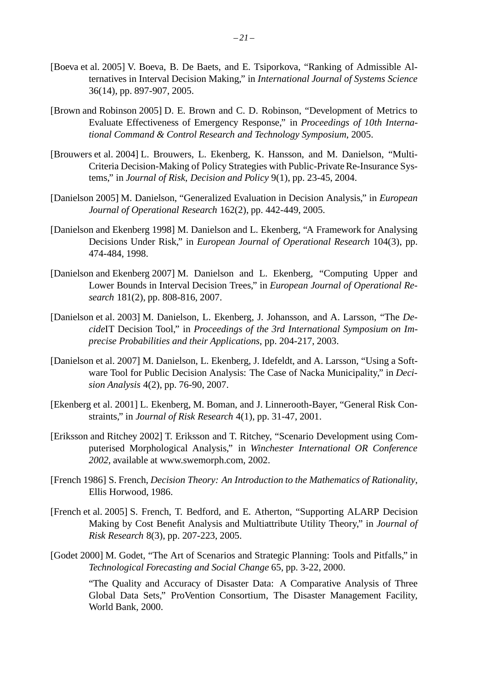- [Boeva et al. 2005] V. Boeva, B. De Baets, and E. Tsiporkova, "Ranking of Admissible Alternatives in Interval Decision Making," in *International Journal of Systems Science* 36(14), pp. 897-907, 2005.
- [Brown and Robinson 2005] D. E. Brown and C. D. Robinson, "Development of Metrics to Evaluate Effectiveness of Emergency Response," in *Proceedings of 10th International Command & Control Research and Technology Symposium*, 2005.
- [Brouwers et al. 2004] L. Brouwers, L. Ekenberg, K. Hansson, and M. Danielson, "Multi-Criteria Decision-Making of Policy Strategies with Public-Private Re-Insurance Systems," in *Journal of Risk, Decision and Policy* 9(1), pp. 23-45, 2004.
- [Danielson 2005] M. Danielson, "Generalized Evaluation in Decision Analysis," in *European Journal of Operational Research* 162(2), pp. 442-449, 2005.
- [Danielson and Ekenberg 1998] M. Danielson and L. Ekenberg, "A Framework for Analysing Decisions Under Risk," in *European Journal of Operational Research* 104(3), pp. 474-484, 1998.
- [Danielson and Ekenberg 2007] M. Danielson and L. Ekenberg, "Computing Upper and Lower Bounds in Interval Decision Trees," in *European Journal of Operational Research* 181(2), pp. 808-816, 2007.
- [Danielson et al. 2003] M. Danielson, L. Ekenberg, J. Johansson, and A. Larsson, "The *Decide*IT Decision Tool," in *Proceedings of the 3rd International Symposium on Imprecise Probabilities and their Applications*, pp. 204-217, 2003.
- [Danielson et al. 2007] M. Danielson, L. Ekenberg, J. Idefeldt, and A. Larsson, "Using a Software Tool for Public Decision Analysis: The Case of Nacka Municipality," in *Decision Analysis* 4(2), pp. 76-90, 2007.
- [Ekenberg et al. 2001] L. Ekenberg, M. Boman, and J. Linnerooth-Bayer, "General Risk Constraints," in *Journal of Risk Research* 4(1), pp. 31-47, 2001.
- [Eriksson and Ritchey 2002] T. Eriksson and T. Ritchey, "Scenario Development using Computerised Morphological Analysis," in *Winchester International OR Conference 2002*, available at www.swemorph.com, 2002.
- [French 1986] S. French, *Decision Theory: An Introduction to the Mathematics of Rationality*, Ellis Horwood, 1986.
- [French et al. 2005] S. French, T. Bedford, and E. Atherton, "Supporting ALARP Decision Making by Cost Benefit Analysis and Multiattribute Utility Theory," in *Journal of Risk Research* 8(3), pp. 207-223, 2005.
- [Godet 2000] M. Godet, "The Art of Scenarios and Strategic Planning: Tools and Pitfalls," in *Technological Forecasting and Social Change* 65, pp. 3-22, 2000.

"The Quality and Accuracy of Disaster Data: A Comparative Analysis of Three Global Data Sets," ProVention Consortium, The Disaster Management Facility, World Bank, 2000.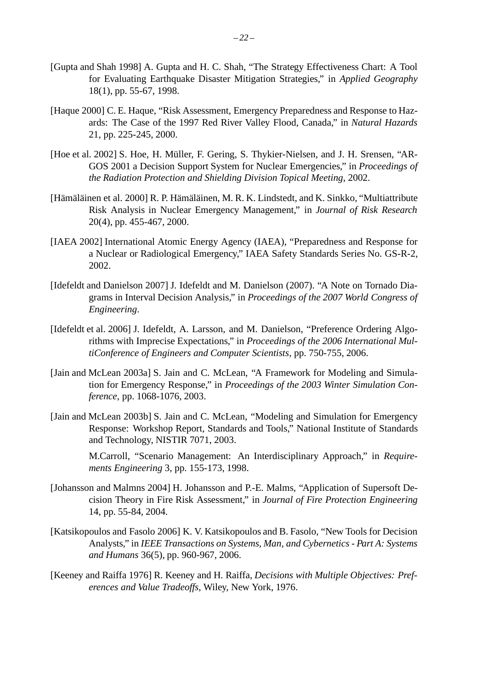- [Gupta and Shah 1998] A. Gupta and H. C. Shah, "The Strategy Effectiveness Chart: A Tool for Evaluating Earthquake Disaster Mitigation Strategies," in *Applied Geography* 18(1), pp. 55-67, 1998.
- [Haque 2000] C. E. Haque, "Risk Assessment, Emergency Preparedness and Response to Hazards: The Case of the 1997 Red River Valley Flood, Canada," in *Natural Hazards* 21, pp. 225-245, 2000.
- [Hoe et al. 2002] S. Hoe, H. Müller, F. Gering, S. Thykier-Nielsen, and J. H. Srensen, "AR-GOS 2001 a Decision Support System for Nuclear Emergencies," in *Proceedings of the Radiation Protection and Shielding Division Topical Meeting*, 2002.
- [Hämäläinen et al. 2000] R. P. Hämäläinen, M. R. K. Lindstedt, and K. Sinkko, "Multiattribute Risk Analysis in Nuclear Emergency Management," in *Journal of Risk Research* 20(4), pp. 455-467, 2000.
- [IAEA 2002] International Atomic Energy Agency (IAEA), "Preparedness and Response for a Nuclear or Radiological Emergency," IAEA Safety Standards Series No. GS-R-2, 2002.
- [Idefeldt and Danielson 2007] J. Idefeldt and M. Danielson (2007). "A Note on Tornado Diagrams in Interval Decision Analysis," in *Proceedings of the 2007 World Congress of Engineering*.
- [Idefeldt et al. 2006] J. Idefeldt, A. Larsson, and M. Danielson, "Preference Ordering Algorithms with Imprecise Expectations," in *Proceedings of the 2006 International MultiConference of Engineers and Computer Scientists*, pp. 750-755, 2006.
- [Jain and McLean 2003a] S. Jain and C. McLean, "A Framework for Modeling and Simulation for Emergency Response," in *Proceedings of the 2003 Winter Simulation Conference*, pp. 1068-1076, 2003.
- [Jain and McLean 2003b] S. Jain and C. McLean, "Modeling and Simulation for Emergency Response: Workshop Report, Standards and Tools," National Institute of Standards and Technology, NISTIR 7071, 2003.

M.Carroll, "Scenario Management: An Interdisciplinary Approach," in *Requirements Engineering* 3, pp. 155-173, 1998.

- [Johansson and Malmns 2004] H. Johansson and P.-E. Malms, "Application of Supersoft Decision Theory in Fire Risk Assessment," in *Journal of Fire Protection Engineering* 14, pp. 55-84, 2004.
- [Katsikopoulos and Fasolo 2006] K. V. Katsikopoulos and B. Fasolo, "New Tools for Decision Analysts," in *IEEE Transactions on Systems, Man, and Cybernetics - Part A: Systems and Humans* 36(5), pp. 960-967, 2006.
- [Keeney and Raiffa 1976] R. Keeney and H. Raiffa, *Decisions with Multiple Objectives: Preferences and Value Tradeoffs*, Wiley, New York, 1976.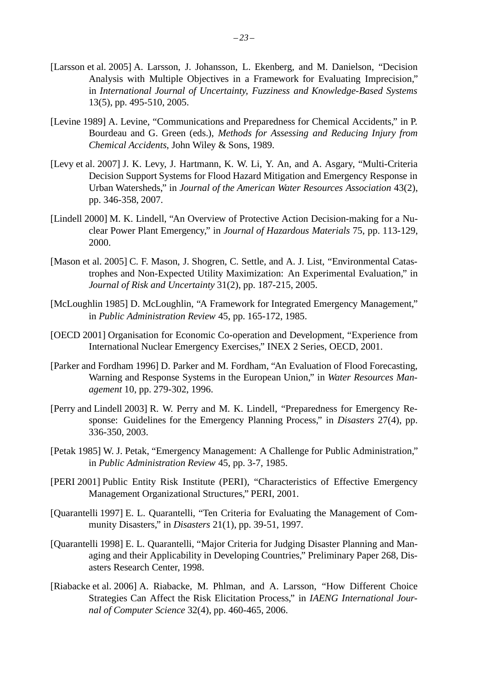- [Larsson et al. 2005] A. Larsson, J. Johansson, L. Ekenberg, and M. Danielson, "Decision Analysis with Multiple Objectives in a Framework for Evaluating Imprecision," in *International Journal of Uncertainty, Fuzziness and Knowledge-Based Systems* 13(5), pp. 495-510, 2005.
- [Levine 1989] A. Levine, "Communications and Preparedness for Chemical Accidents," in P. Bourdeau and G. Green (eds.), *Methods for Assessing and Reducing Injury from Chemical Accidents*, John Wiley & Sons, 1989.
- [Levy et al. 2007] J. K. Levy, J. Hartmann, K. W. Li, Y. An, and A. Asgary, "Multi-Criteria Decision Support Systems for Flood Hazard Mitigation and Emergency Response in Urban Watersheds," in *Journal of the American Water Resources Association* 43(2), pp. 346-358, 2007.
- [Lindell 2000] M. K. Lindell, "An Overview of Protective Action Decision-making for a Nuclear Power Plant Emergency," in *Journal of Hazardous Materials* 75, pp. 113-129, 2000.
- [Mason et al. 2005] C. F. Mason, J. Shogren, C. Settle, and A. J. List, "Environmental Catastrophes and Non-Expected Utility Maximization: An Experimental Evaluation," in *Journal of Risk and Uncertainty* 31(2), pp. 187-215, 2005.
- [McLoughlin 1985] D. McLoughlin, "A Framework for Integrated Emergency Management," in *Public Administration Review* 45, pp. 165-172, 1985.
- [OECD 2001] Organisation for Economic Co-operation and Development, "Experience from International Nuclear Emergency Exercises," INEX 2 Series, OECD, 2001.
- [Parker and Fordham 1996] D. Parker and M. Fordham, "An Evaluation of Flood Forecasting, Warning and Response Systems in the European Union," in *Water Resources Management* 10, pp. 279-302, 1996.
- [Perry and Lindell 2003] R. W. Perry and M. K. Lindell, "Preparedness for Emergency Response: Guidelines for the Emergency Planning Process," in *Disasters* 27(4), pp. 336-350, 2003.
- [Petak 1985] W. J. Petak, "Emergency Management: A Challenge for Public Administration," in *Public Administration Review* 45, pp. 3-7, 1985.
- [PERI 2001] Public Entity Risk Institute (PERI), "Characteristics of Effective Emergency Management Organizational Structures," PERI, 2001.
- [Quarantelli 1997] E. L. Quarantelli, "Ten Criteria for Evaluating the Management of Community Disasters," in *Disasters* 21(1), pp. 39-51, 1997.
- [Quarantelli 1998] E. L. Quarantelli, "Major Criteria for Judging Disaster Planning and Managing and their Applicability in Developing Countries," Preliminary Paper 268, Disasters Research Center, 1998.
- [Riabacke et al. 2006] A. Riabacke, M. Phlman, and A. Larsson, "How Different Choice Strategies Can Affect the Risk Elicitation Process," in *IAENG International Journal of Computer Science* 32(4), pp. 460-465, 2006.